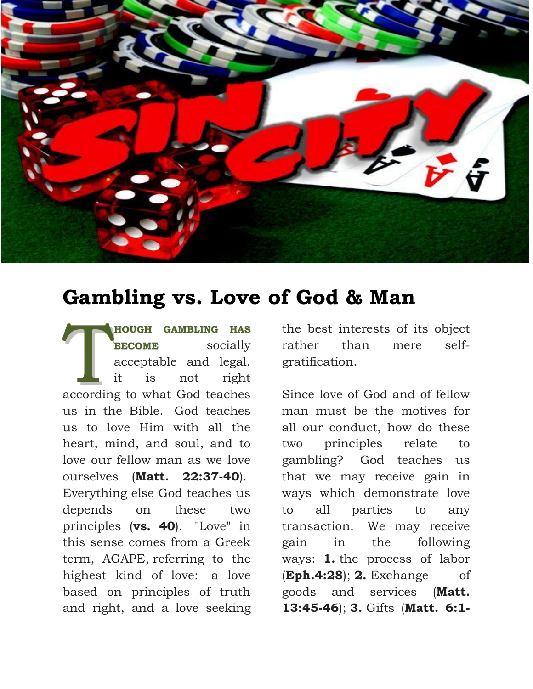

## **Gambling vs. Love of God & Man**

**HOUGH GAMBLING HAS BECOME** socially acceptable and legal, it is not right HOUGH GAMBLING HAS<br>
BECOME socially<br>
acceptable and legal,<br>
it is not right<br>
according to what God teaches us in the Bible. God teaches us to love Him with all the heart, mind, and soul, and to love our fellow man as we love ourselves (**Matt. 22:37-40**). Everything else God teaches us depends on these two principles (**vs. 40**). "Love" in this sense comes from a Greek term, AGAPE, referring to the highest kind of love: a love based on principles of truth and right, and a love seeking

the best interests of its object rather than mere selfgratification.

Since love of God and of fellow man must be the motives for all our conduct, how do these two principles relate to gambling? God teaches us that we may receive gain in ways which demonstrate love to all parties to any transaction. We may receive gain in the following ways: **1.** the process of labor (**Eph.4:28**); **2.** Exchange of goods and services (**Matt. 13:45-46**); **3.** Gifts (**Matt. 6:1-**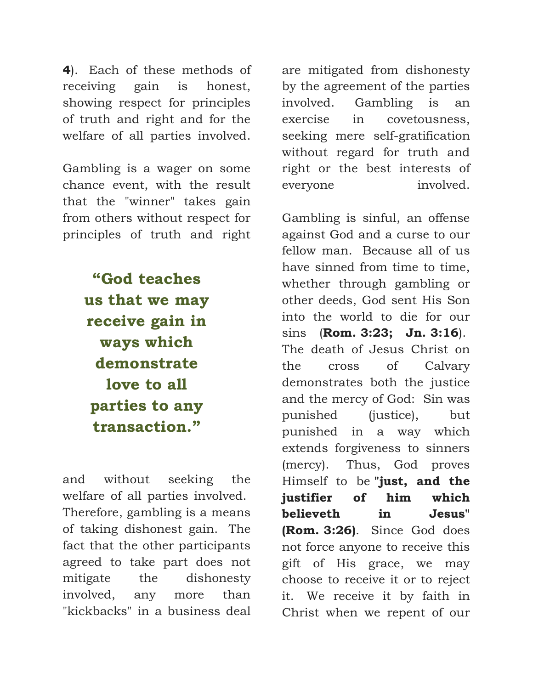**4**). Each of these methods of receiving gain is honest, showing respect for principles of truth and right and for the welfare of all parties involved.

Gambling is a wager on some chance event, with the result that the "winner" takes gain from others without respect for principles of truth and right

> **"God teaches us that we may receive gain in ways which demonstrate love to all parties to any transaction."**

and without seeking the welfare of all parties involved. Therefore, gambling is a means of taking dishonest gain. The fact that the other participants agreed to take part does not mitigate the dishonesty involved, any more than "kickbacks" in a business deal

are mitigated from dishonesty by the agreement of the parties involved. Gambling is an exercise in covetousness, seeking mere self-gratification without regard for truth and right or the best interests of everyone involved.

Gambling is sinful, an offense against God and a curse to our fellow man. Because all of us have sinned from time to time, whether through gambling or other deeds, God sent His Son into the world to die for our sins (**Rom. 3:23; Jn. 3:16**). The death of Jesus Christ on the cross of Calvary demonstrates both the justice and the mercy of God: Sin was punished (justice), but punished in a way which extends forgiveness to sinners (mercy). Thus, God proves Himself to be **"just, and the justifier of him which believeth in Jesus" (Rom. 3:26)**. Since God does not force anyone to receive this gift of His grace, we may choose to receive it or to reject it. We receive it by faith in Christ when we repent of our